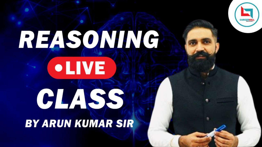

# REASONING **•LIVE** CLASS **BY ARUN KUMAR SIR**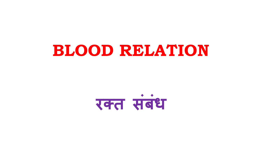# **BLOOD RELATION**



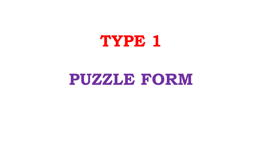# **TYPE 1**

## **PUZZLE FORM**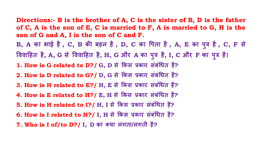**ु ु**

**Directions:- B is the brother of A, C is the sister of B, D is the father of C, A is the son of E, C is married to F, A is married to G, H is the son of G and A, I is the son of C and F. B, A का भाई है, C, B क� बहन है, D, C का �पता है, A, E का प त्र है, C, F से �ववा�हत है, A, G से �ववा�हत है, H, G और A का प त्र है, I, C और F का प त्र है। ु 1. How is G related to D?/ G, D से �कस प्रकार संबं�धत है? 2. How is D related to G?/ D, G से �कस प्रकार संबं�धत है? 3. How is H related to E?/ H, E से �कस प्रकार संबं�धत है? 4. How is E related to H?/ E, H से �कस प्रकार संबं�धत है? 5. How is H related to I?/ H, I से �कस प्रकार संबं�धत है? 6. How is I related to H?/ I, H से �कस प्रकार संबं�धत है? 7. Who is I of/to D?/ I, D का क्या लगता/लगती है?**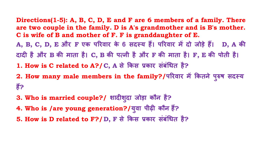**Directions(1-5): A, B, C, D, E and F are 6 members of a family. There are two couple in the family. D is A's grandmother and is B's mother. C is wife of B and mother of F. F is granddaughter of E. A, B, C, D, E और F एक प�रवार के 6 सदस्य ह�। प�रवार म� दो जोड़े ह�। D, A क� दाद� है और B क� माता है। C, B क� पत्नी है और F क� माता है। F, E क� पोती है। 1. How is C related to A?/C, A से �कस प्रकार संबं�धत है? 2. How many male members in the family?/प�रवार म� �कतने पु रुष सदस्य** 

- **ह�?**
- **3. Who is married couple?/ शाद�शु दा जोड़ा कौन है?**
- **4. Who is /are young generation?/य वा पीढ़� कौन ह�? ु**
- **5. How is D related to F?/D, F से �कस प्रकार संबं�धत है?**

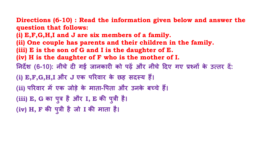### **Directions (6-10) : Read the information given below and answer the question that follows:**

**(i) E,F,G,H,I and J are six members of a family. (ii) One couple has parents and their children in the family. (iii) E is the son of G and I is the daughter of E. (iv) H is the daughter of F who is the mother of I. �नद�श (6-10): नीचे द� गई जानकार� को पढ़� और नीचे �दए गए प्रश्न� के उत्तर द� : (i) E,F,G,H,I और J एक प�रवार के छह सदस्य ह�। (ii) प�रवार म� एक जोड़े के माता-�पता और उनके बच्चे ह�। (iii) E, G का प त्र है और I, E क� प त्री है। ु ु (iv) H, F क� प त्री है जो I क� माता है।ु**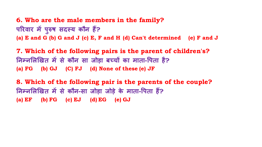**6. Who are the male members in the family?** परिवार में पुरुष सदस्य कौन हैं? **ु (a) E and G (b) G and J (c) E, F and H (d) Can't determined (e) F and J**

**7. Which of the following pairs is the parent of children's? �नम्न�ल�खत म� से कौन सा जोड़ा बच्च� का माता-�पता है? (a) FG (b) GJ (C) FJ (d) None of these (e) JF**

**8. Which of the following pair is the parents of the couple? �नम्न�ल�खत म� से कौन-सा जोड़ा जोड़े के माता-�पता ह�? (a) EF (b) FG (c) EJ (d) EG (e) GJ**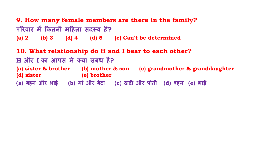**9. How many female members are there in the family? प�रवार म� �कतनी म�हला सदस्य ह�? (a) 2 (b) 3 (d) 4 (d) 5 (e) Can't be determined**

**10. What relationship do H and I bear to each other? H और I का आपस म� क्या संबंध है? (a) sister & brother (b) mother & son (c) grandmother & granddaughter (d) sister (e) brother (a) बहन और भाई (b) मां और बेटा (c) दाद� और पोती (d) बहन (e) भाई**



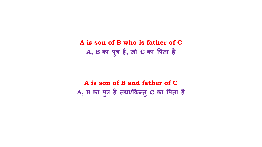**A is son of B who is father of C A, B का प त्र है, जो C का �पता है ु**

**A is son of B and father of C A, B का प त्र है तथा/�कन्तु C का �पता हैु**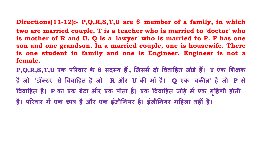### Directions(11-12):- P,Q,R,S,T,U are 6 member of a family, in which two are married couple. T is a teacher who is married to 'doctor' who is mother of R and U. Q is a 'lawyer' who is married to P. P has one son and one grandson. In a married couple, one is housewife. There is one student in family and one is Engineer. Engineer is not a

female.

P,Q,R,S,T,U एक परिवार के 6 सदस्य हैं, जिसमें दो विवाहित जोड़े हैं। T एक शिक्षक है जो 'डॉक्टर' से विवाहित है जो R और U की माँ है। Q एक 'वकील' है जो P से विवाहित है। P का एक बेटा और एक पोता है। एक विवाहित जोड़े में एक गृहिणी होती है। परिवार में एक छात्र है और एक इंजीनियर है। इंजीनियर महिला नहीं है।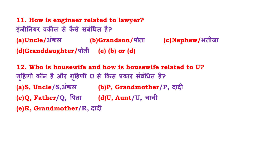**11. How is engineer related to lawyer? इंजी�नयर वक�ल से कै से संबं�धत है? (a)Uncle/अंकल (b)Grandson/पोता (c)Nephew/भतीजा (d)Granddaughter/पोती (e) (b) or (d)**

**12. Who is housewife and how is housewife related to U? ग�हणी कौन है और ग ृ �हणी ृ U से �कस प्रकार संबं�धत है? (a)S, Uncle/S,अंकल (b)P, Grandmother/P, दाद� (c)Q, Father/Q, �पता (d)U, Aunt/U, चाची (e)R, Grandmother/R, दाद�**

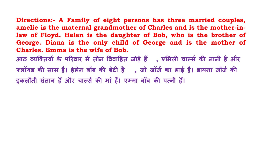Directions:- A Family of eight persons has three married couples, amelie is the maternal grandmother of Charles and is the mother-inlaw of Floyd. Helen is the daughter of Bob, who is the brother of George. Diana is the only child of George and is the mother of **Charles. Emma is the wife of Bob.** आठ व्यक्तियों के परिवार में तीन विवाहित जोड़े हैं , एमिली चार्ल्स की नानी है और फ्लॉयड की सास है। हेलेन बॉब की बेटी है , जो जॉर्ज का भाई है। डायना जॉर्ज की

इकलौती संतान हैं और चार्ल्स की मां हैं। एम्मा बॉब की पत्नी हैं।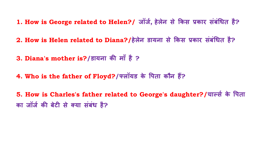**1. How is George related to Helen?/ जॉजर्, हेलेन से �कस प्रकार संबं�धत है?**

**2. How is Helen related to Diana?/हेलेन डायना से �कस प्रकार संबं�धत है?**

**3. Diana's mother is?/डायना क� माँ है ?**

**4. Who is the father of Floyd?/फ्लॉयड के �पता कौन ह�?**

**5. How is Charles's father related to George's daughter?/चाल्सर् के �पता का जॉजर् क� बेट� से क्या संबंध है?**

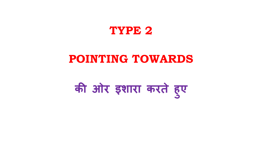

## **POINTING TOWARDS**

# **क� ओर इशारा करते हु ए**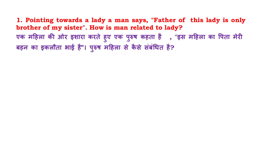**1. Pointing towards a lady a man says, "Father of this lady is only brother of my sister". How is man related to lady? एक म�हला क� ओर इशारा करते हु ए एक प रुष कहता है , "इस म�हला का �पता मेर� ु बहन का इकलौता भाई है"। प रुष म�हला से कै से संबं�धत है?ु**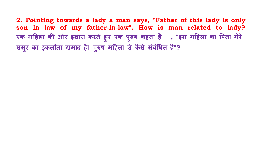**2. Pointing towards a lady a man says, "Father of this lady is only son in law of my father-in-law". How is man related to lady?** एक महिला की ओर इशारा करते हुए एक पुरुष कहता है , "इस महिला का पिता मेरे <del>,</del> **ु ससुर का इकलौता दामाद है। प रुष म�हला से कै से संबं�धत है"?ु**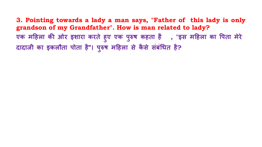**3. Pointing towards a lady a man says, "Father of this lady is only grandson of my Grandfather". How is man related to lady?** एक महिला की ओर इशारा करते हुए एक पुरुष कहता है , "इस महिला का पिता मेरे <del>,</del> **ु दादाजी का इकलौता पोता है"। प रुष म�हला से कै से संबं�धत है?ु**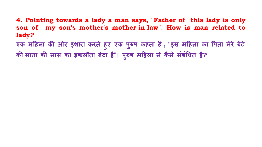- **4. Pointing towards a lady a man says, "Father of this lady is only son of my son's mother's mother-in-law". How is man related to lady?**
- **एक म�हला क� ओर इशारा करते हु ए एक प रुष कहता है, "इस म�हला का �पता मेरे बेटे ु क� माता क� सास का इकलौता बेटा है"। प रुष म�हला से कै से संबं�धत है?ु**

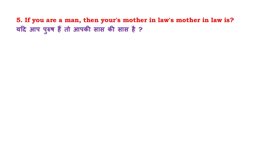**5. If you are a man, then your's mother in law's mother in law is? य�द आप पु रुष ह� तो आपक� सास क� सास है ?**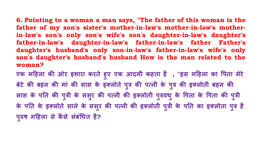**6. Pointing to a woman a man says, "The father of this woman is the father of my son's sister's mother-in-law's mother-in-law's motherin-law's son's only son's wife's son's daughter-in-law's daughter's father-in-law's daughter-in-law's father-in-law's father Father's daughter's husband's only son-in-law's father-in-law's wife's only son's daughter's husband's husband How is the man related to the woman?**

**एक म�हला क� ओर इशारा करते हु ए एक आदमी कहता है , "इस म�हला का �पता मेरे**  बेटे की बहन की मा की सास के इक्लोते पुत्र की पत्नी के पुत्र की इक्लोती बहन की सास के पति की पुत्री के ससुर की पत्नी की इक्लोती पुत्रवधु के पिता के पिता की पुत्री <sub>.</sub> **ु** के पति के इक्लोते साले के ससुर की पत्नी की इक्लोती पुत्री के पति का इक्लोता पुत्र हैं **| प रुष म�हला से कै से संबं�धत है?ु**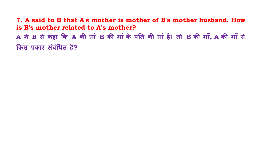7. A said to B that A's mother is mother of B's mother husband. How is B's mother related to A's mother? A ने B से कहा कि A की मां B की मां के पति की मां है। तो B की माँ, A की माँ से किस प्रकार संबंधित है?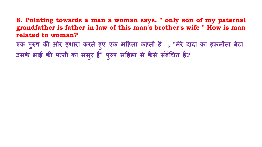### **8. Pointing towards a man a woman says, " only son of my paternal grandfather is father-in-law of this man's brother's wife " How is man related to woman?**

**एक प रुष क� ओर इशारा करते हु ए एक म�हला कहती है , "मेरे दादा का इकलौता बेटा ु उसके भाई क� पत्नी का ससुर है" प रुष म�हला से कै से संबं�धत है?ु**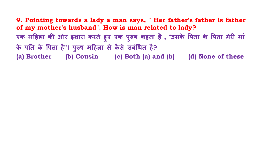**9. Pointing towards a lady a man says, " Her father's father is father of my mother's husband". How is man related to lady?** एक महिला की ओर इशारा करते हुए एक पुरुष कहता है , "उसके पिता के पिता मेरी मां **ु के प�त के �पता ह�"। प रुष म�हला से कै से संबं�धत है? ु (a) Brother (b) Cousin (c) Both (a) and (b) (d) None of these**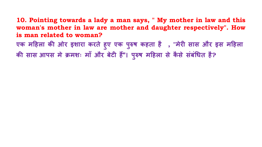**10. Pointing towards a lady a man says, " My mother in law and this woman's mother in law are mother and daughter respectively". How is man related to woman?** 

**एक म�हला क� ओर इशारा करते हु ए एक प रुष कहता है , "मेर� सास और इस म�हला ु क� सास आपस मे क्रमशः माँ और बेट� ह�"। प रुष म�हला से कै से संबं�धत है?ु**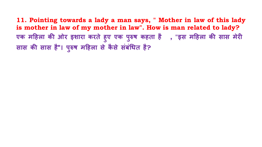**11. Pointing towards a lady a man says, " Mother in law of this lady is mother in law of my mother in law". How is man related to lady? एक म�हला क� ओर इशारा करते हु ए एक प रुष कहता है , "इस म�हला क� सास मेर� ु सास क� सास है"। प रुष म�हला से कै से संबं�धत है?ु**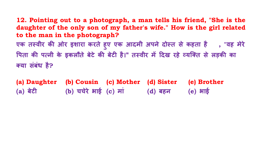- **12. Pointing out to a photograph, a man tells his friend, "She is the daughter of the only son of my father's wife." How is the girl related to the man in the photograph? एक तस्वीर क� ओर इशारा करते हु ए एक आदमी अपने दोस्त से कहता है , "वह मेरे �पता क� पत्नी के इकलौते बेटे क� बेट� है।" तस्वीर म� �दख रहे व्यिक्त से लड़क� का क्या संबंध है?**
- **(a) Daughter (b) Cousin (c) Mother (d) Sister (e) Brother (a) बेट� (b) चचेरे भाई (c) मां (d) बहन (e) भाई**



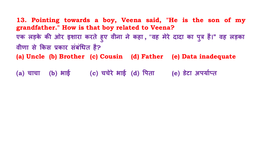**13. Pointing towards a boy, Veena said, "He is the son of my grandfather." How is that boy related to Veena?** एक लड़के की ओर इशारा करते हुए वीना ने कहा , "वह मेरे दादा का पुत्र है।" वह लड़का **वीणा से �कस प्रकार संबं�धत है? (a) Uncle (b) Brother (c) Cousin (d) Father (e) Data inadequate**

**(a) चाचा (b) भाई (c) चचेरे भाई (d) �पता (e) डेटा अपयार्प्त**

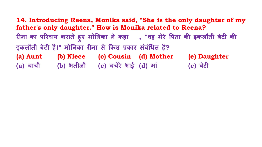**14. Introducing Reena, Monika said, "She is the only daughter of my father's only daughter." How is Monika related to Reena? र�ना का प�रचय कराते ह ए मो�नका ने कहा , "वह मेरे �पता क� इकलौती बेट� क� ु इकलौती बेट� है।" मो�नका र�ना से �कस प्रकार संबं�धत है? (a) Aunt (b) Niece (c) Cousin (d) Mother (e) Daughter (a) चाची (b) भतीजी (c) चचेरे भाई (d) मां (e) बेट�**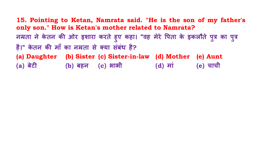**15. Pointing to Ketan, Namrata said. "He is the son of my father's only son." How is Ketan's mother related to Namrata? नम्रता ने के तन क� ओर इशारा करते हु ए कहा। "वह मेरे �पता के इकलौते पु त्र का प त्र है।" के तन क� माँ का नम्रता से क्या संबंध है? (a) Daughter (b) Sister (c) Sister-in-law (d) Mother (e) Aunt (a) बेट� (b) बहन (c) भाभी (d) मां (e) चाची**



## **ु**

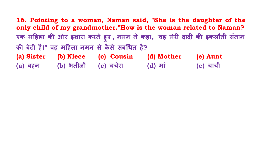**16. Pointing to a woman, Naman said, "She is the daughter of the only child of my grandmother."How is the woman related to Naman? एक म�हला क� ओर इशारा करते हु ए , नमन ने कहा, "वह मेर� दाद� क� इकलौती संतान क� बेट� है।" वह म�हला नमन से कै से संबं�धत है? (a) Sister (b) Niece (c) Cousin (d) Mother (e) Aunt (a) बहन (b) भतीजी (c) चचेरा (d) मां (e) चाची**

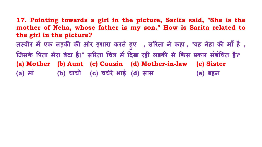## **17. Pointing towards a girl in the picture, Sarita said, "She is the mother of Neha, whose father is my son." How is Sarita related to the girl in the picture? तस्वीर म� एक लड़क� क� ओर इशारा करते हु ए , स�रता ने कहा , "वह नेहा क� माँ है, िजसके �पता मेरा बेटा है।" स�रता �चत्र म� �दख रह� लड़क� से �कस प्रकार संबं�धत है? (a) Mother (b) Aunt (c) Cousin (d) Mother-in-law (e) Sister (a) मां (b) चाची (c) चचेरे भाई (d) सास (e) बहन**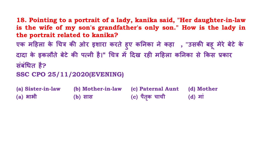# **ू**

- **18. Pointing to a portrait of a lady, kanika said, "Her daughter-in-law is the wife of my son's grandfather's only son." How is the lady in the portrait related to kanika? एक म�हला के �चत्र क� ओर इशारा करते हु ए क�नका ने कहा , "उसक� बह मेरे बेटे के दादा के इकलौते बेटे क� पत्नी है।" �चत्र म� �दख रह� म�हला क�नका से �कस प्रकार संबं�धत है? SSC CPO 25/11/2020(EVENING)**
- **(a) Sister-in-law (b) Mother-in-law (c) Paternal Aunt (d) Mother (a) भाभी (b) सास (c) पैतक चाची ृ (d) मां**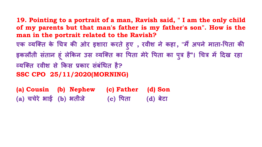**19. Pointing to a portrait of a man, Ravish said, " I am the only child of my parents but that man's father is my father's son". How is the man in the portrait related to the Ravish? एक व्यिक्त के �चत्र क� ओर इशारा करते हु ए , रवीश ने कहा, "म अपने माता � -�पता क�**  इकलौती सतान हू लेकिन उस व्यक्ति का पिता मेरे पिता का पुत्र है"। चित्र में दिख रहा **व्यिक्त रवीश से �कस प्रकार संबं�धत है? SSC CPO 25/11/2020(MORNING)**

**(a) Cousin (b) Nephew (c) Father (d) Son (a) चचेरे भाई (b) भतीजे (c) �पता (d) बेटा**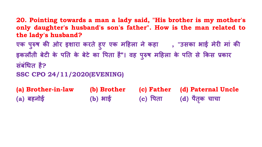- **20. Pointing towards a man a lady said, "His brother is my mother's only daughter's husband's son's father". How is the man related to the lady's husband? एक प रुष क� ओर इशारा करते हु ए एक म�हला ने कहा , "उसका भाई मेर� मां क� ु इकलौती बेट� के प�त के बेटे का �पता है"। वह पु रुष म�हला के प�त से �कस प्रकार संबं�धत है? SSC CPO 24/11/2020(EVENING) (a) Brother-in-law (b) Brother (c) Father (d) Paternal Uncle**
- **(a) बहनोई (b) भाई (c) �पता (d) पैतक चाचा ृ**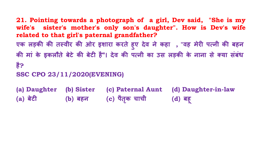**21. Pointing towards a photograph of a girl, Dev said, "She is my wife's sister's mother's only son's daughter". How is Dev's wife related to that girl's paternal grandfather? एक लड़क� क� तस्वीर क� ओर इशारा करते हु ए देव ने कहा , "वह मेर� पत्नी क� बहन क� मां के इकलौते बेटे क� बेट� है"। देव क� पत्नी का उस लड़क� के नाना से क्या संबंध है?**

**SSC CPO 23/11/2020(EVENING)**

**(a) Daughter (b) Sister (c) Paternal Aunt (d) Daughter-in-law (a) बेट� (b) बहन (c) पैतक चाची ृ (d) बह ू**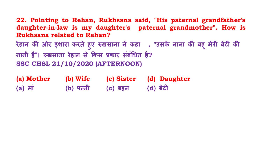**22. Pointing to Rehan, Rukhsana said, "His paternal grandfather's daughter-in-law is my daughter's paternal grandmother". How is Rukhsana related to Rehan? रेहान क� ओर इशारा करते हु ए रुखसाना ने कहा , "उसके नाना क� बह मेर� बेट� क� नानी है"। रुखसाना रेहान से �कस प्रकार संबं�धत है? SSC CHSL 21/10/2020 (AFTERNOON)**

## **ू**

| (a) Mother           | (b) Wife    | (c) Sister | (d) Daughter |
|----------------------|-------------|------------|--------------|
| $(a)$ $\overline{H}$ | $(b)$ पत्नी | (c) बहन    | (d) बेटी     |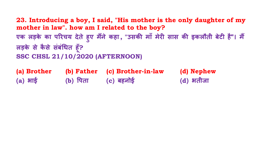**23. Introducing a boy, I said, "His mother is the only daughter of my mother in law". how am I related to the boy? एक लड़के का प�रचय देते हु ए मने कहा � , "उसक� माँ मेर� सास क� इकलौती बेट� है"। म�** लड़के से कैसे संबंधित हूँ? **ँ SSC CHSL 21/10/2020 (AFTERNOON)**

**(a) Brother (b) Father (c) Brother-in-law (d) Nephew (a) भाई (b) �पता (c) बहनोई (d) भतीजा**



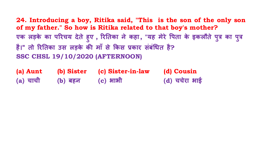**24. Introducing a boy, Ritika said, "This is the son of the only son of my father." So how is Ritika related to that boy's mother? एक लड़के का प�रचय देते हु ए , �र�तका ने कहा, "यह मेरे �पता के इकलौते पु त्र का प त्र है।" तो �र�तका उस लड़के क� माँ से �कस प्रकार संबं�धत है? SSC CHSL 19/10/2020 (AFTERNOON)**

# **ु**

**(a) Aunt (b) Sister (c) Sister-in-law (d) Cousin (a) चाची (b) बहन (c) भाभी (d) चचेरा भाई**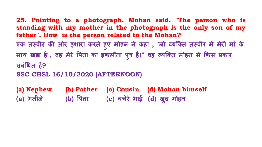**25. Pointing to a photograph, Mohan said, "The person who is standing with my mother in the photograph is the only son of my father". How is the person related to the Mohan?** एक तस्वीर की ओर इशारा करते हुए मोहन ने कहा , "जो व्यक्ति तस्वीर में मेरी मां के **साथ खड़ा है, वह मेरे �पता का इकलौता पु त्र है।" वह व्यिक्त मोहन से �कस प्रकार संबं�धत है?**

**SSC CHSL 16/10/2020 (AFTERNOON)**

**(a) Nephew (b) Father (c) Cousin (d) Mohan himself (a) भतीजे (b) �पता (c) चचेरे भाई (d) खद मोहन ु**

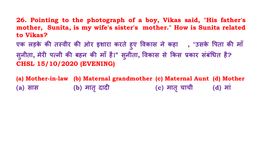- **26. Pointing to the photograph of a boy, Vikas said, "His father's mother, Sunita, is my wife's sister's mother." How is Sunita related to Vikas?**
- **एक लड़के क� तस्वीर क� ओर इशारा करते हु ए �वकास ने कहा , "उसके �पता क� माँ सु नीता, मेर� पत्नी क� बहन क� माँ है।" सु नीता, �वकास से �कस प्रकार संबं�धत है? CHSL 15/10/2020 (EVENING)**
- **(a) Mother-in-law (b) Maternal grandmother (c) Maternal Aunt (d) Mother (a) सास (b) मात दाद� ृ (c) मात चाची ृ (d) मां**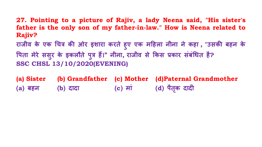**27. Pointing to a picture of Rajiv, a lady Neena said, "His sister's father is the only son of my father-in-law." How is Neena related to Rajiv?**

**राजीव के एक �चत्र क� ओर इशारा करते हु ए एक म�हला नीना ने कहा , "उसक� बहन के �पता मेरे ससुर के इकलौते पु त्र ह�।" नीना, राजीव से �कस प्रकार संबं�धत है? SSC CHSL 13/10/2020(EVENING)**

**(a) Sister (b) Grandfather (c) Mother (d)Paternal Grandmother (a) बहन (b) दादा (c) मां (d) पैतक दाद� ृ**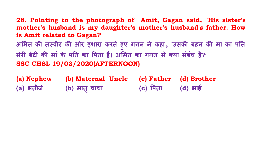**28. Pointing to the photograph of Amit, Gagan said, "His sister's mother's husband is my daughter's mother's husband's father. How is Amit related to Gagan? अ�मत क� तस्वीर क� ओर इशारा करते हु ए गगन ने कहा, "उसक� बहन क� मां का प�त मेर� बेट� क� मां के प�त का �पता है। अ�मत का गगन से क्या संबंध है? SSC CHSL 19/03/2020(AFTERNOON)**

| (a) Nephew | (b) Maternal Uncle | (c) Father | (d) Brother |
|------------|--------------------|------------|-------------|
| (a) भतीजे  | (b) मातृ चाचा      | (c) पिता   | $(d)$ भाई   |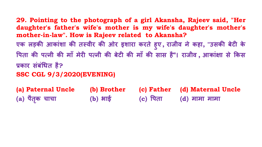**29. Pointing to the photograph of a girl Akansha, Rajeev said, "Her daughter's father's wife's mother is my wife's daughter's mother's mother-in-law". How is Rajeev related to Akansha? एक लड़क� आकांशा क� तस्वीर क� ओर इशारा करते हु ए, राजीव ने कहा, "उसक� बेट� के �पता क� पत्नी क� माँ मेर� पत्नी क� बेट� क� माँ क� सास है"। राजीव , आकां�ा से �कस प्रकार संबं�धत है?**

**SSC CGL 9/3/2020(EVENING)**

**(a) Paternal Uncle (b) Brother (c) Father (d) Maternal Uncle (a) पैतक चाचा ृ (b) भाई (c) �पता (d) मामा मामा**

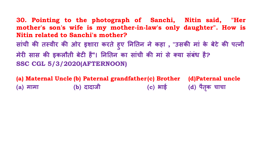**30. Pointing to the photograph of Sanchi, Nitin said, "Her mother's son's wife is my mother-in-law's only daughter". How is Nitin related to Sanchi's mother? सांची क� तस्वीर क� ओर इशारा करते हु ए �न�तन ने कहा , "उसक� मां के बेटे क� पत्नी मेर� सास क� इकलौती बेट� है"। �न�तन का सांची क� मां से क्या संबंध है? SSC CGL 5/3/2020(AFTERNOON)**

**(a) Maternal Uncle (b) Paternal grandfather(c) Brother (d)Paternal uncle (a) मामा (b) दादाजी (c) भाई (d) पैतक चाचा**

## **ृ**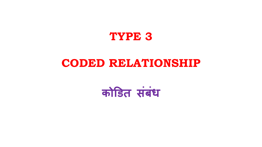

## **CODED RELATIONSHIP**

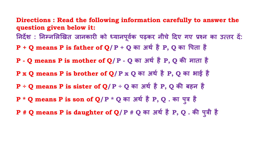**Directions : Read the following information carefully to answer the question given below it:** निर्देश : निम्नलिखित जानकारी को ध्यानपूर्वक पढ़कर नीचे दिए गए प्रश्न का उत्तर दे: **P + Q means P is father of Q/P + Q का अथर् है P, Q का �पता है P - Q means P is mother of Q/P - Q का अथर् है P, Q क� माता है P x Q means P is brother of Q/P x Q का अथर् है P, Q का भाई है P ÷ Q means P is sister of Q/P ÷ Q का अथर् है P, Q क� बहन है P \* Q means P is son of Q/P \* Q का अथर् है P, Q . का प त्र है ु P # Q means P is daughter of Q/P # Q का अथर् है P, Q . क� प त्री है**

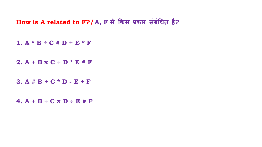## **How is A related to F?/A, F से �कस प्रकार संबं�धत है?**

 $1. A * B ÷ C + D + E * F$ 

**2. A + B x C ÷ D \* E # F**

**3. A # B + C \* D - E ÷ F**

**4. A + B ÷ C x D ÷ E # F**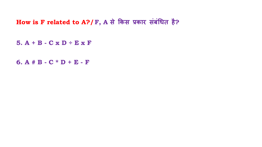## **How is F related to A?/F, A से �कस प्रकार संबं�धत है?**

**5. A + B - C x D ÷ E x F**

**6. A # B - C \* D + E - F**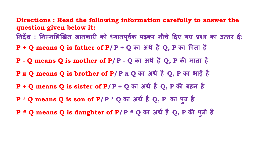**Directions : Read the following information carefully to answer the question given below it:** निर्देश : निम्नलिखित जानकारी को ध्यानपूर्वक पढ़कर नीचे दिए गए प्रश्न का उत्तर दे: **P + Q means Q is father of P/P + Q का अथर् है Q, P का �पता है P - Q means Q is mother of P/P - Q का अथर् है Q, P क� माता है P x Q means Q is brother of P/P x Q का अथर् है Q, P का भाई है P ÷ Q means Q is sister of P/P ÷ Q का अथर् है Q, P क� बहन है P \* Q means Q is son of P/P \* Q का अथर् है Q, P का प त्र है ु P # Q means Q is daughter of P/P # Q का अथर् है Q, P क� प त्री हैु**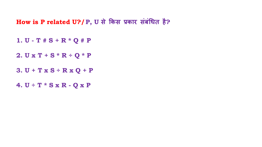## **How is P related U?/P, U से �कस प्रकार संबं�धत है?**

- **1. U - T # S + R \* Q # P**
- **2. U x T + S \* R ÷ Q \* P**
- **3. U + T x S ÷ R x Q + P**
- **4. U ÷ T \* S x R - Q x P**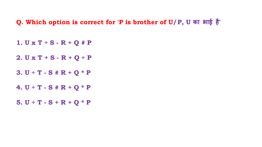### **Q. Which option is correct for 'P is brother of U/P, U का भाई है'**

- **1. U x T ÷ S - R + Q # P**
- **2. U x T + S - R + Q ÷ P**
- **3. U ÷ T - S # R + Q \* P**
- **4. U ÷ T - S # R + Q \* P**
- **5. U ÷ T - S + R + Q \* P**

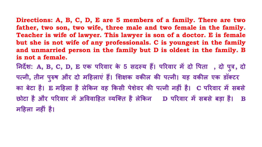Directions: A, B, C, D, E are 5 members of a family. There are two father, two son, two wife, three male and two female in the family. Teacher is wife of lawyer. This lawyer is son of a doctor. E is female but she is not wife of any professionals. C is youngest in the family and unmarried person in the family but D is oldest in the family. B is not a female. निर्देश: A, B, C, D, E एक परिवार के 5 सदस्य हैं। परिवार में दो पिता), दो पूत्र, दो पत्नी, तीन पुरुष और दो महिलाएं हैं। शिक्षक वकील की पत्नी। यह वकील एक डॉक्टर का बेटा है। E महिला है लेकिन वह किसी पेशेवर की पत्नी नहीं है। C परिवार में सबसे छोटा है और परिवार में अविवाहित व्यक्ति है लेकिन D परिवार में सबसे बड़ा है। B

महिला नहीं है।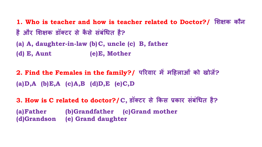**1. Who is teacher and how is teacher related to Doctor?/ �श�क कौन है और �श�क डॉक्टर से कै से संबं�धत है?**

**(a) A, daughter-in-law (b)C, uncle (c) B, father (d) E, Aunt (e)E, Mother**

**2. Find the Females in the family?/ प�रवार म� म�हलाओं को खोज�? (a)D,A (b)E,A (c)A,B (d)D,E (e)C,D**

**3. How is C related to doctor?/C, डॉक्टर से �कस प्रकार संबं�धत है? (a)Father (b)Grandfather (c)Grand mother (d)Grandson (e) Grand daughter**





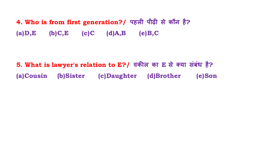**4. Who is from first generation?/ पहल� पीढ़� से कौन है? (a)D,E (b)C,E (c)C (d)A,B (e)B,C**

**5. What is lawyer's relation to E?/ वक�ल का E से क्या संबंध है? (a)Cousin (b)Sister (c)Daughter (d)Brother (e)Son**

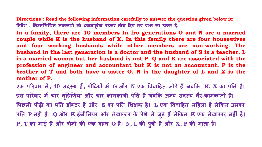Directions : Read the following information carefully to answer the question given below it: निर्देश: निम्नलिखित जानकारी को ध्यानपूर्वक पढ़कर नीचे दिए गए प्रश्न का उत्तर दें:

In a family, there are 10 members In fro generations G and N are a married couple while K is the husband of X. In this family there are four housewives and four working husbands while other members are non-working. The husband in the last generation is a doctor and the husband of S is a teacher. L is a married woman but her husband is not P. Q and K are associated with the profession of engineer and accountant but K is not an accountant. P is the brother of  $T$  and both have a sister  $O$ . N is the daughter of  $L$  and  $X$  is the mother of P.

एक परिवार में, 10 सदस्य हैं, पीढ़ियों में G और N एक विवाहित जोड़े हैं जबकि K, X का पति है। इस परिवार में चार गृहिणियां और चार कामकाजी पति हैं जबकि अन्य सदस्य गैर-कामकाजी हैं। पिछली पीढी का पति डॉक्टर है और S का पति शिक्षक है। L एक विवाहित महिला है लेकिन उसका पति P नहीं है। Q और K इंजीनियर और लेखाकार के पेशे से जुड़े हैं लेकिन K एक लेखाकार नहीं है। P, T का भाई है और दोनों की एक बहन O है। N, L की पुत्री है और X, P की माता है।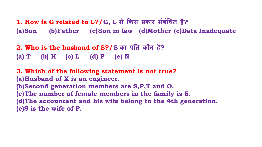**1. How is G related to L?/G, L से �कस प्रकार संबं�धत है? (a)Son (b)Father (c)Son in law (d)Mother (e)Data Inadequate**

**2. Who is the husband of S?/S का प�त कौन है? (a) T (b) K (c) L (d) P (e) N**

**3. Which of the following statement is not true? (a)Husband of X is an engineer. (b)Second generation members are S,P,T and O. (c)The number of female members in the family is 5. (d)The accountant and his wife belong to the 4th generation. (e)S is the wife of P.**

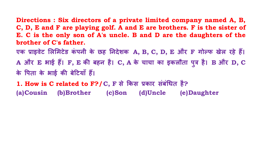**Directions : Six directors of a private limited company named A, B, C, D, E and F are playing golf. A and E are brothers. F is the sister of E. C is the only son of A's uncle. B and D are the daughters of the brother of C's father.**

**एक प्राइवेट �ल�मटेड कं पनी के छह �नदेशक A, B, C, D, E और F गोल्फ खेल रहे ह�। A और E भाई ह�। F, E क� बहन है। C, A के चाचा का इकलौता पु त्र है। B और D, C के �पता के भाई क� बे�टयाँ ह�।**

**1. How is C related to F?/C, F से �कस प्रकार संबं�धत है? (a)Cousin (b)Brother (c)Son (d)Uncle (e)Daughter**

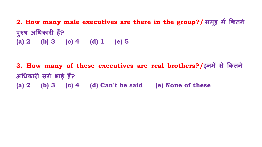**2. How many male executives are there in the group?/ समू ह म� �कतने**  पुरुष अधिकारी है? **ु (a) 2 (b) 3 (c) 4 (d) 1 (e) 5**

**3. How many of these executives are real brothers?/इनम� से �कतने अ�धकार� सगे भाई ह�? (a) 2 (b) 3 (c) 4 (d) Can't be said (e) None of these**

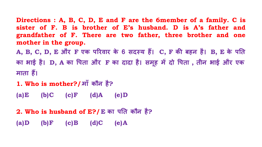**Directions : A, B, C, D, E and F are the 6member of a family. C is sister of F. B is brother of E's husband. D is A's father and grandfather of F. There are two father, three brother and one mother in the group.**

**A, B, C, D, E और F एक प�रवार के 6 सदस्य ह�। C, F क� बहन है। B, E के प�त का भाई है। D, A का �पता और F का दादा है। समू ह म� दो �पता , तीन भाई और एक**  माता हैं।

**1. Who is mother?/**/**माँ कौन है?**

**(a)E (b)C (c)F (d)A (e)D**

**2. Who is husband of E?/E का प�त कौन है?**

**(a)D (b)F (c)B (d)C (e)A**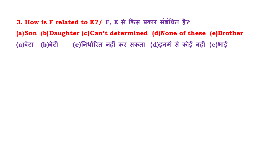3. How is F related to E?/ F, E से किस प्रकार संबंधित है? (a) Son (b) Daughter (c) Can't determined (d) None of these (e) Brother (a)बेटा (b)बेटी (c)निर्धारित नहीं कर सकता (d)इनमें से कोई नहीं (e)आई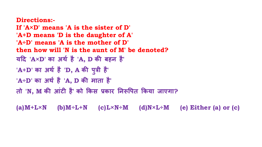**Directions:- If 'A×D' means 'A is the sister of D' 'A+D means 'D is the daughter of A' 'A÷D' means 'A is the mother of D' then how will 'N is the aunt of M' be denoted? य�द 'A×D' का अथर् है 'A, D क� बहन है' 'A+D' का अथर् है 'D, A क� प त्री है' ु 'A÷D' का अथर् है 'A, D क� माता है' तो 'N, M क� आंट� है' को �कस प्रकार �नरू�पत �कया जाएगा?**

**(a)M+L×N (b)M÷L+N (c)L×N÷M (d)N×L÷M (e) Either (a) or (c)**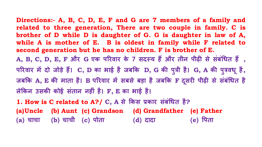**Directions:- A, B, C, D, E, F and G are 7 members of a family and related to three generation, There are two couple in family. C is brother of D while D is daughter of G. G is daughter in law of A, while A is mother of E. B is oldest in family while F related to second generation but he has no children. F is brother of E. A, B, C, D, E, F और G एक प�रवार के 7 सदस्य ह� और तीन पीढ़� से संबं�धत ह� , प�रवार म� दो जोड़े ह�। C, D का भाई है जब�क D, G क� प त्री है। G, A क� प त्रवध है, ु जब�क A, E क� माता है। B प�रवार म� सबसे बड़ा है जब�क F दसर� पीढ़� से संबं�धत है ू ले�कन उसक� कोई संतान नह�ं है। F, E का भाई है।**

- 
- **ु ू**
- 

**1. How is C related to A?/ C, A से �कस प्रकार संबं�धत है? (a)Uncle (b) Aunt (c) Grandson (d) Grandfather (e) Father (a) चाचा (b) चाची (c) पोता (d) दादा (e) �पता**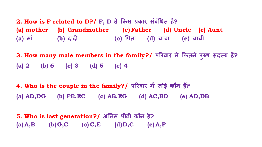**2. How is F related to D?/ F, D से �कस प्रकार संबं�धत है? (a) mother (b) Grandmother (c)Father (d) Uncle (e) Aunt (a) मां (b) दाद� (c) �पता (d) चाचा (e) चाची**

**3. How many male members in the family?/ प�रवार म� �कतने पु रुष सदस्य ह?� (a) 2 (b) 6 (c) 3 (d) 5 (e) 4**

**4. Who is the couple in the family?/ प�रवार म� जोड़े कौन ह?� (a) AD,DG (b) FE,EC (c) AB,EG (d) AC,BD (e) AD,DB**

**5. Who is last generation?/ अं�तम पीढ़� कौन है? (a) A,B (b)G,C (c) C,E (d)D,C (e) A,F**





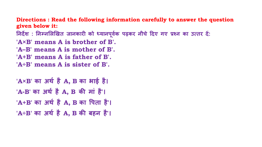**Directions : Read the following information carefully to answer the question given below it:**

निर्देश : निम्नलिखित जानकारी को ध्यानपूर्वक पढ़कर नीचे दिए गए प्रश्न का उत्तर दे:

- **'A×B' means A is brother of B'.**
- **'A–B' means A is mother of B'.**
- **'A+B' means A is father of B'.**
- **'A÷B' means A is sister of B'.**

**'A×B' का अथर् है A, B का भाई है। 'A-B' का अथर् है A, B क� मां है'। 'A+B' का अथर् है A, B का �पता है'। 'A÷B' का अथर् है A, B क� बहन है'।**

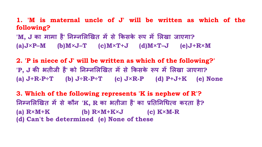1. 'M is maternal uncle of J' will be written as which of the following?

'M, J का मामा है' निम्नलिखित में से किसके रूप में लिखा जाएगा?  $(a) J \times P - M$  (b)  $M \times J - T$  (c)  $M \times T + J$  (d)  $M \times T - J$  (e)  $J + R \times M$ 

2. 'P is niece of J' will be written as which of the following?' 'P, J की भतीजी है' को निम्नलिखित में से किसके रूप में लिखा जाएगा? (a)  $J+R-P+T$  (b)  $J+R-P+T$  (c)  $J\times R-P$  (d)  $P+J+K$  (e) None

3. Which of the following represents 'K is nephew of R'? निम्नलिखित में से कौन 'K, R का भतीजा है' का प्रतिनिधित्व करता है? (a)  $R \times M + K$  (b)  $R \times M + K \times J$  (c)  $K \times M - R$ (d) Can't be determined (e) None of these

- 
-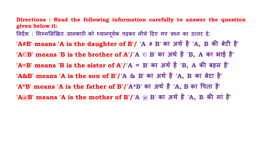**Directions : Read the following information carefully to answer the question given below it:**

निर्देश : निम्नलिखित जानकारी को ध्यानपूर्वक पढ़कर नीचे दिए गए प्रश्न का उत्तर दे:

**'A#B' means 'A is the daughter of B'/ 'A # B' का अथर् है 'A, B क� बेट� है' 'A©B' means 'B is the brother of A'/'A © B' का अथर् है 'B, A का भाई है'**

**'A=B' means 'B is the sister of A'/'A = B' का अथर् है 'B, A क� बहन है'**

**'A&B' means 'A is the son of B'/'A & B' का अथर् है 'A, B का बेटा है'**

**'A\*B' means 'A is the father of B'/'A\*B' का अथर् है 'A, B का �पता है'**

**'A@B' means 'A is the mother of B'/'A @ B' का अथर् है 'A, B क� मां है'**

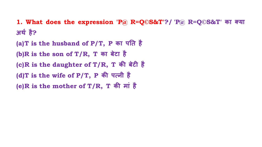**1. What does the expression 'P@ R=Q©S&T'?/ 'P@ R=Q©S&T' का क्या अथर् है?**

**(a)T is the husband of P/T, P का प�त है (b)R is the son of T/R, T का बेटा है (c)R is the daughter of T/R, T क� बेट� है (d)T is the wife of P/T, P क� पत्नी है (e)R is the mother of T/R, T क� मां है** 

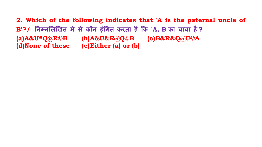**2. Which of the following indicates that 'A is the paternal uncle of B'?/ �नम्न�ल�खत म� से कौन इं�गत करता है �क 'A, B का चाचा है'? (a)A&U#Q@R©B (b)A&U&R@Q©B (c)B&R&Q@U©A (d)None of these (e)Either (a) or (b)**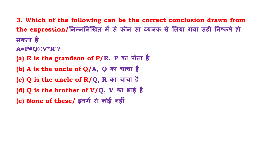- **3. Which of the following can be the correct conclusion drawn from**  the expression/ निम्नलिखित में से कौन सा व्यंजक से लिया गया सही निष्कर्ष हो **सकता है**
- **A=P#Q©V\*R'?**
- **(a) R is the grandson of P/R, P का पोता है**
- **(b) A is the uncle of Q/A, Q का चाचा है**
- **(c) Q is the uncle of R/Q, R का चाचा है**
- **(d) Q is the brother of V/Q, V का भाई है**
- **(e) None of these/ इनम� से कोई नह�ं**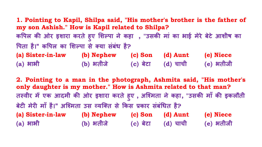**1. Pointing to Kapil, Shilpa said, "His mother's brother is the father of my son Ashish." How is Kapil related to Shilpa? क�पल क� ओर इशारा करते हु ए �शल्पा ने कहा , "उसक� मां का भाई मेरे बेटे आशीष का �पता है।" क�पल का �शल्पा से क्या संबंध है? (a) Sister-in-law (b) Nephew (c) Son (d) Aunt (e) Niece (a) भाभी (b) भतीजे (c) बेटा (d) चाची (e) भतीजी**

**2. Pointing to a man in the photograph, Ashmita said, "His mother's only daughter is my mother." How is Ashmita related to that man? तस्वीर म� एक आदमी क� ओर इशारा करते हु ए , अिश्मता ने कहा, "उसक� माँ क� इकलौती बेट� मेर� माँ है।" अिश्मता उस व्यिक्त से �कस प्रकार संबं�धत है? (a) Sister-in-law (b) Nephew (c) Son (d) Aunt (e) Niece (a) भाभी (b) भतीजे (c) बेटा (d) चाची (e) भतीजी**

- 
- 
-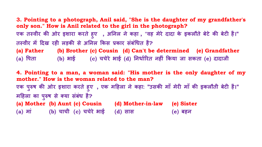**3. Pointing to a photograph, Anil said, "She is the daughter of my grandfather's only son." How is Anil related to the girl in the photograph? एक तस्वीर क� ओर इशारा करते हु ए , अ�नल ने कहा , "वह मेरे दादा के इकलौते बेटे क� बेट� है।" तस्वीर म� �दख रह� लड़क� से अ�नल �कस प्रकार संबं�धत है? (a) Father (b) Brother (c) Cousin (d) Can't be determined (e) Grandfather (a) �पता (b) भाई (c) चचेरे भाई (d) �नधार्�रत नह�ं �कया जा सकता (e) दादाजी**

**4. Pointing to a man, a woman said: "His mother is the only daughter of my mother." How is the woman related to the man? एक प रुष क� ओर इशारा करते हु ए , एक म�हला ने कहा: "उसक� माँ मेर� माँ क� इकलौती बेट� है।" ु म�हला का पु रुष से क्या संबंध है? (a) Mother (b) Aunt (c) Cousin (d) Mother-in-law (e) Sister (a) मां (b) चाची (c) चचेरे भाई (d) सास (e) बहन**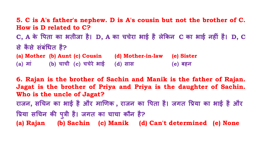**5. C is A's father's nephew. D is A's cousin but not the brother of C. How is D related to C? C, A के �पता का भतीजा है। D, A का चचेरा भाई है ले�कन C का भाई नह�ं है। D, C से कै से संबं�धत है? (a) Mother (b) Aunt (c) Cousin (d) Mother-in-law (e) Sister (a) मां (b) चाची (c) चचेरे भाई (d) सास (e) बहन**

**6. Rajan is the brother of Sachin and Manik is the father of Rajan. Jagat is the brother of Priya and Priya is the daughter of Sachin. Who is the uncle of Jagat? राजन, स�चन का भाई है और मा�णक , राजन का �पता है। जगत �प्रया का भाई है और �प्रया स�चन क� पु त्री है। जगत का चाचा कौन है? (a) Rajan (b) Sachin (c) Manik (d) Can't determined (e) None**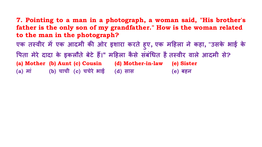**7. Pointing to a man in a photograph, a woman said, "His brother's father is the only son of my grandfather." How is the woman related to the man in the photograph? एक तस्वीर म� एक आदमी क� ओर इशारा करते हु ए, एक म�हला ने कहा, "उसके भाई के �पता मेरे दादा के इकलौते बेटे ह�।" म�हला कै से संबं�धत हैतस्वीर वाले आदमी से? (a) Mother (b) Aunt (c) Cousin (d) Mother-in-law (e) Sister (a) मां (b) चाची (c) चचेरे भाई (d) सास (e) बहन**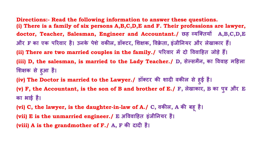**Directions:- Read the following information to answer these questions. (i) There is a family of six persons A,B,C,D,E and F. Their professions are lawyer, doctor, Teacher, Salesman, Engineer and Accountant./ छह व्यिक्तय� A,B,C,D,E और F का एक प�रवार है। उनके पेशे वक�ल, डॉक्टर, �श�क, �वक्रे ता, इंजी�नयर और लेखाकार ह�। (ii) There are two married couples in the family./ प�रवार म� दो �ववा�हत जोड़े ह�। (iii) D, the salesman, is married to the Lady Teacher./ D, सेल्समैन, का �ववाह म�हला �श�क से ह आ है। ु (iv) The Doctor is married to the Lawyer./ डॉक्टर क� शाद� वक�ल से ह ई है। (v) F, the Accountant, is the son of B and brother of E./ F, लेखाकार, B का प त्र और E का भाई है।**

**ु**

**(vi) C, the lawyer, is the daughter-in-law of A./ C, वक�ल, A क� बहू है। (vii) E is the unmarried engineer./ E अ�ववा�हत इंजी�नयर है। (viii) A is the grandmother of F./ A, F क� दाद� है।**